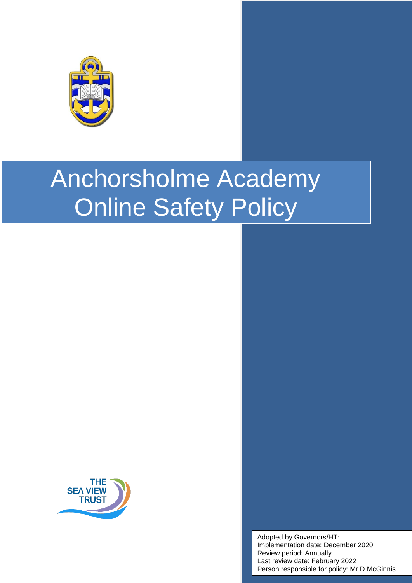

# Anchorsholme Academy Online Safety Policy



Adopted by Governors/HT: Implementation date: December 2020 Review period: Annually Last review date: February 2022 Person responsible for policy: Mr D McGinnis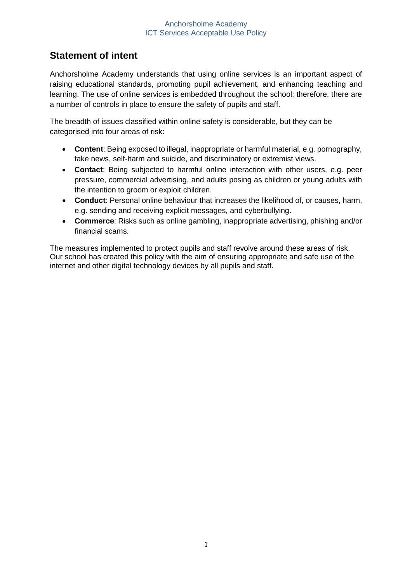## **Statement of intent**

Anchorsholme Academy understands that using online services is an important aspect of raising educational standards, promoting pupil achievement, and enhancing teaching and learning. The use of online services is embedded throughout the school; therefore, there are a number of controls in place to ensure the safety of pupils and staff.

The breadth of issues classified within online safety is considerable, but they can be categorised into four areas of risk:

- **Content**: Being exposed to illegal, inappropriate or harmful material, e.g. pornography, fake news, self-harm and suicide, and discriminatory or extremist views.
- **Contact**: Being subjected to harmful online interaction with other users, e.g. peer pressure, commercial advertising, and adults posing as children or young adults with the intention to groom or exploit children.
- **Conduct**: Personal online behaviour that increases the likelihood of, or causes, harm, e.g. sending and receiving explicit messages, and cyberbullying.
- **Commerce**: Risks such as online gambling, inappropriate advertising, phishing and/or financial scams.

The measures implemented to protect pupils and staff revolve around these areas of risk. Our school has created this policy with the aim of ensuring appropriate and safe use of the internet and other digital technology devices by all pupils and staff.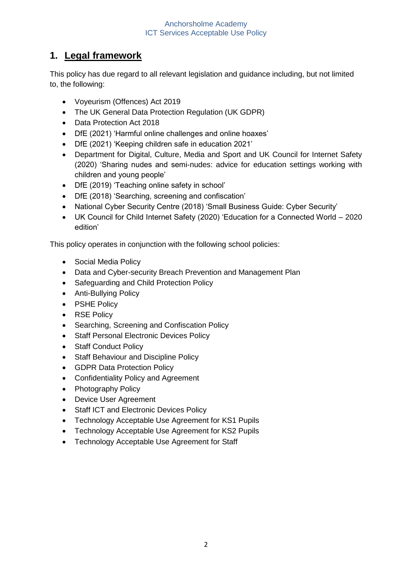## **1. Legal framework**

This policy has due regard to all relevant legislation and guidance including, but not limited to, the following:

- Voyeurism (Offences) Act 2019
- The UK General Data Protection Regulation (UK GDPR)
- Data Protection Act 2018
- DfE (2021) 'Harmful online challenges and online hoaxes'
- DfE (2021) 'Keeping children safe in education 2021'
- Department for Digital, Culture, Media and Sport and UK Council for Internet Safety (2020) 'Sharing nudes and semi-nudes: advice for education settings working with children and young people'
- DfE (2019) 'Teaching online safety in school'
- DfE (2018) 'Searching, screening and confiscation'
- National Cyber Security Centre (2018) 'Small Business Guide: Cyber Security'
- UK Council for Child Internet Safety (2020) 'Education for a Connected World 2020 edition'

This policy operates in conjunction with the following school policies:

- Social Media Policy
- Data and Cyber-security Breach Prevention and Management Plan
- Safeguarding and Child Protection Policy
- Anti-Bullying Policy
- PSHE Policy
- RSE Policy
- Searching, Screening and Confiscation Policy
- Staff Personal Electronic Devices Policy
- Staff Conduct Policy
- Staff Behaviour and Discipline Policy
- GDPR Data Protection Policy
- Confidentiality Policy and Agreement
- Photography Policy
- Device User Agreement
- Staff ICT and Electronic Devices Policy
- Technology Acceptable Use Agreement for KS1 Pupils
- Technology Acceptable Use Agreement for KS2 Pupils
- Technology Acceptable Use Agreement for Staff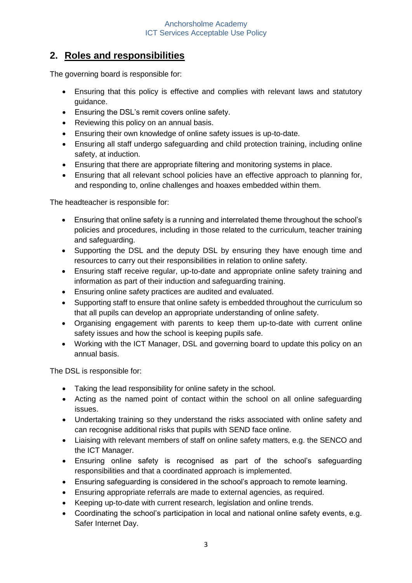## **2. Roles and responsibilities**

The governing board is responsible for:

- Ensuring that this policy is effective and complies with relevant laws and statutory guidance.
- Ensuring the DSL's remit covers online safety.
- Reviewing this policy on an annual basis.
- Ensuring their own knowledge of online safety issues is up-to-date.
- Ensuring all staff undergo safeguarding and child protection training, including online safety, at induction.
- Ensuring that there are appropriate filtering and monitoring systems in place.
- Ensuring that all relevant school policies have an effective approach to planning for, and responding to, online challenges and hoaxes embedded within them.

The headteacher is responsible for:

- Ensuring that online safety is a running and interrelated theme throughout the school's policies and procedures, including in those related to the curriculum, teacher training and safeguarding.
- Supporting the DSL and the deputy DSL by ensuring they have enough time and resources to carry out their responsibilities in relation to online safety.
- Ensuring staff receive regular, up-to-date and appropriate online safety training and information as part of their induction and safeguarding training.
- Ensuring online safety practices are audited and evaluated.
- Supporting staff to ensure that online safety is embedded throughout the curriculum so that all pupils can develop an appropriate understanding of online safety.
- Organising engagement with parents to keep them up-to-date with current online safety issues and how the school is keeping pupils safe.
- Working with the ICT Manager, DSL and governing board to update this policy on an annual basis.

The DSL is responsible for:

- Taking the lead responsibility for online safety in the school.
- Acting as the named point of contact within the school on all online safeguarding issues.
- Undertaking training so they understand the risks associated with online safety and can recognise additional risks that pupils with SEND face online.
- Liaising with relevant members of staff on online safety matters, e.g. the SENCO and the ICT Manager.
- Ensuring online safety is recognised as part of the school's safeguarding responsibilities and that a coordinated approach is implemented.
- Ensuring safeguarding is considered in the school's approach to remote learning.
- Ensuring appropriate referrals are made to external agencies, as required.
- Keeping up-to-date with current research, legislation and online trends.
- Coordinating the school's participation in local and national online safety events, e.g. Safer Internet Day.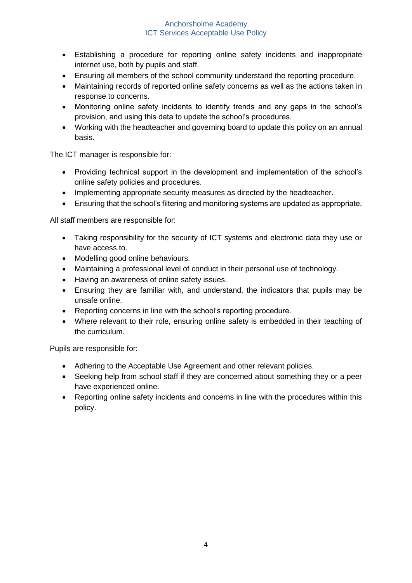- Establishing a procedure for reporting online safety incidents and inappropriate internet use, both by pupils and staff.
- Ensuring all members of the school community understand the reporting procedure.
- Maintaining records of reported online safety concerns as well as the actions taken in response to concerns.
- Monitoring online safety incidents to identify trends and any gaps in the school's provision, and using this data to update the school's procedures.
- Working with the headteacher and governing board to update this policy on an annual basis.

The ICT manager is responsible for:

- Providing technical support in the development and implementation of the school's online safety policies and procedures.
- Implementing appropriate security measures as directed by the headteacher.
- Ensuring that the school's filtering and monitoring systems are updated as appropriate.

All staff members are responsible for:

- Taking responsibility for the security of ICT systems and electronic data they use or have access to.
- Modelling good online behaviours.
- Maintaining a professional level of conduct in their personal use of technology.
- Having an awareness of online safety issues.
- Ensuring they are familiar with, and understand, the indicators that pupils may be unsafe online.
- Reporting concerns in line with the school's reporting procedure.
- Where relevant to their role, ensuring online safety is embedded in their teaching of the curriculum.

Pupils are responsible for:

- Adhering to the Acceptable Use Agreement and other relevant policies.
- Seeking help from school staff if they are concerned about something they or a peer have experienced online.
- Reporting online safety incidents and concerns in line with the procedures within this policy.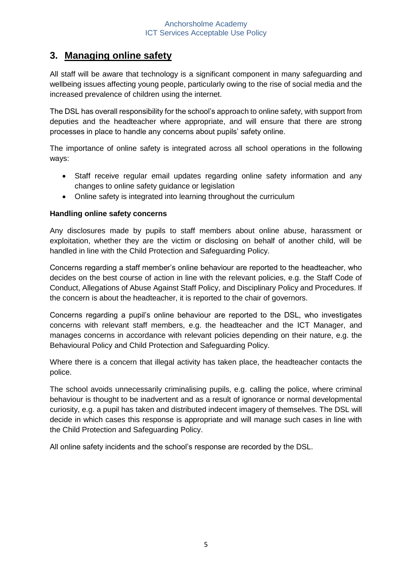## **3. Managing online safety**

All staff will be aware that technology is a significant component in many safeguarding and wellbeing issues affecting young people, particularly owing to the rise of social media and the increased prevalence of children using the internet.

The DSL has overall responsibility for the school's approach to online safety, with support from deputies and the headteacher where appropriate, and will ensure that there are strong processes in place to handle any concerns about pupils' safety online.

The importance of online safety is integrated across all school operations in the following ways:

- Staff receive regular email updates regarding online safety information and any changes to online safety guidance or legislation
- Online safety is integrated into learning throughout the curriculum

#### **Handling online safety concerns**

Any disclosures made by pupils to staff members about online abuse, harassment or exploitation, whether they are the victim or disclosing on behalf of another child, will be handled in line with the Child Protection and Safeguarding Policy.

Concerns regarding a staff member's online behaviour are reported to the headteacher, who decides on the best course of action in line with the relevant policies, e.g. the Staff Code of Conduct, Allegations of Abuse Against Staff Policy, and Disciplinary Policy and Procedures. If the concern is about the headteacher, it is reported to the chair of governors.

Concerns regarding a pupil's online behaviour are reported to the DSL, who investigates concerns with relevant staff members, e.g. the headteacher and the ICT Manager, and manages concerns in accordance with relevant policies depending on their nature, e.g. the Behavioural Policy and Child Protection and Safeguarding Policy.

Where there is a concern that illegal activity has taken place, the headteacher contacts the police.

The school avoids unnecessarily criminalising pupils, e.g. calling the police, where criminal behaviour is thought to be inadvertent and as a result of ignorance or normal developmental curiosity, e.g. a pupil has taken and distributed indecent imagery of themselves. The DSL will decide in which cases this response is appropriate and will manage such cases in line with the Child Protection and Safeguarding Policy.

All online safety incidents and the school's response are recorded by the DSL.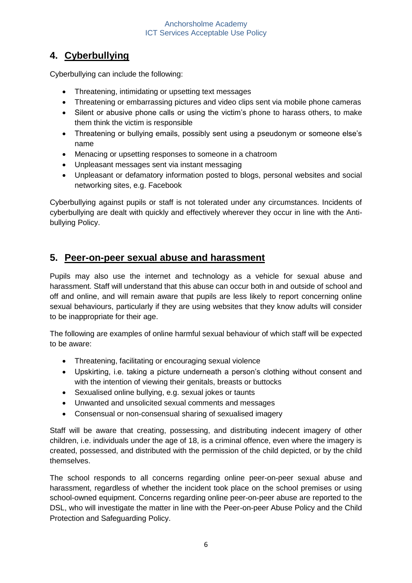## **4. Cyberbullying**

Cyberbullying can include the following:

- Threatening, intimidating or upsetting text messages
- Threatening or embarrassing pictures and video clips sent via mobile phone cameras
- Silent or abusive phone calls or using the victim's phone to harass others, to make them think the victim is responsible
- Threatening or bullying emails, possibly sent using a pseudonym or someone else's name
- Menacing or upsetting responses to someone in a chatroom
- Unpleasant messages sent via instant messaging
- Unpleasant or defamatory information posted to blogs, personal websites and social networking sites, e.g. Facebook

Cyberbullying against pupils or staff is not tolerated under any circumstances. Incidents of cyberbullying are dealt with quickly and effectively wherever they occur in line with the Antibullying Policy.

## **5. Peer-on-peer sexual abuse and harassment**

Pupils may also use the internet and technology as a vehicle for sexual abuse and harassment. Staff will understand that this abuse can occur both in and outside of school and off and online, and will remain aware that pupils are less likely to report concerning online sexual behaviours, particularly if they are using websites that they know adults will consider to be inappropriate for their age.

The following are examples of online harmful sexual behaviour of which staff will be expected to be aware:

- Threatening, facilitating or encouraging sexual violence
- Upskirting, i.e. taking a picture underneath a person's clothing without consent and with the intention of viewing their genitals, breasts or buttocks
- Sexualised online bullying, e.g. sexual jokes or taunts
- Unwanted and unsolicited sexual comments and messages
- Consensual or non-consensual sharing of sexualised imagery

Staff will be aware that creating, possessing, and distributing indecent imagery of other children, i.e. individuals under the age of 18, is a criminal offence, even where the imagery is created, possessed, and distributed with the permission of the child depicted, or by the child themselves.

The school responds to all concerns regarding online peer-on-peer sexual abuse and harassment, regardless of whether the incident took place on the school premises or using school-owned equipment. Concerns regarding online peer-on-peer abuse are reported to the DSL, who will investigate the matter in line with the Peer-on-peer Abuse Policy and the Child Protection and Safeguarding Policy.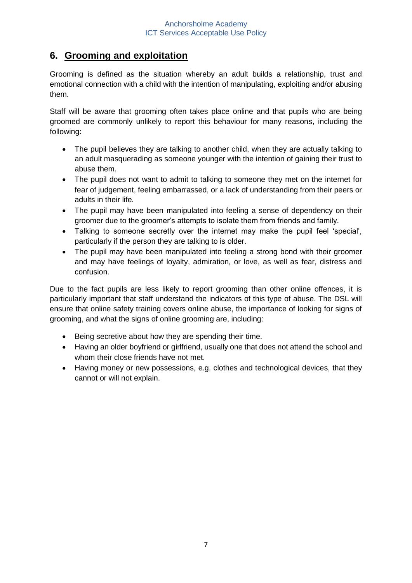## **6. Grooming and exploitation**

Grooming is defined as the situation whereby an adult builds a relationship, trust and emotional connection with a child with the intention of manipulating, exploiting and/or abusing them.

Staff will be aware that grooming often takes place online and that pupils who are being groomed are commonly unlikely to report this behaviour for many reasons, including the following:

- The pupil believes they are talking to another child, when they are actually talking to an adult masquerading as someone younger with the intention of gaining their trust to abuse them.
- The pupil does not want to admit to talking to someone they met on the internet for fear of judgement, feeling embarrassed, or a lack of understanding from their peers or adults in their life.
- The pupil may have been manipulated into feeling a sense of dependency on their groomer due to the groomer's attempts to isolate them from friends and family.
- Talking to someone secretly over the internet may make the pupil feel 'special', particularly if the person they are talking to is older.
- The pupil may have been manipulated into feeling a strong bond with their groomer and may have feelings of loyalty, admiration, or love, as well as fear, distress and confusion.

Due to the fact pupils are less likely to report grooming than other online offences, it is particularly important that staff understand the indicators of this type of abuse. The DSL will ensure that online safety training covers online abuse, the importance of looking for signs of grooming, and what the signs of online grooming are, including:

- Being secretive about how they are spending their time.
- Having an older boyfriend or girlfriend, usually one that does not attend the school and whom their close friends have not met.
- Having money or new possessions, e.g. clothes and technological devices, that they cannot or will not explain.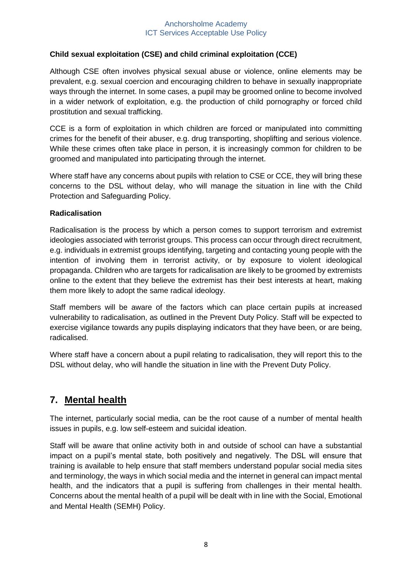#### **Child sexual exploitation (CSE) and child criminal exploitation (CCE)**

Although CSE often involves physical sexual abuse or violence, online elements may be prevalent, e.g. sexual coercion and encouraging children to behave in sexually inappropriate ways through the internet. In some cases, a pupil may be groomed online to become involved in a wider network of exploitation, e.g. the production of child pornography or forced child prostitution and sexual trafficking.

CCE is a form of exploitation in which children are forced or manipulated into committing crimes for the benefit of their abuser, e.g. drug transporting, shoplifting and serious violence. While these crimes often take place in person, it is increasingly common for children to be groomed and manipulated into participating through the internet.

Where staff have any concerns about pupils with relation to CSE or CCE, they will bring these concerns to the DSL without delay, who will manage the situation in line with the Child Protection and Safeguarding Policy.

#### **Radicalisation**

Radicalisation is the process by which a person comes to support terrorism and extremist ideologies associated with terrorist groups. This process can occur through direct recruitment, e.g. individuals in extremist groups identifying, targeting and contacting young people with the intention of involving them in terrorist activity, or by exposure to violent ideological propaganda. Children who are targets for radicalisation are likely to be groomed by extremists online to the extent that they believe the extremist has their best interests at heart, making them more likely to adopt the same radical ideology.

Staff members will be aware of the factors which can place certain pupils at increased vulnerability to radicalisation, as outlined in the Prevent Duty Policy. Staff will be expected to exercise vigilance towards any pupils displaying indicators that they have been, or are being, radicalised.

Where staff have a concern about a pupil relating to radicalisation, they will report this to the DSL without delay, who will handle the situation in line with the Prevent Duty Policy.

#### **7. Mental health**

The internet, particularly social media, can be the root cause of a number of mental health issues in pupils, e.g. low self-esteem and suicidal ideation.

Staff will be aware that online activity both in and outside of school can have a substantial impact on a pupil's mental state, both positively and negatively. The DSL will ensure that training is available to help ensure that staff members understand popular social media sites and terminology, the ways in which social media and the internet in general can impact mental health, and the indicators that a pupil is suffering from challenges in their mental health. Concerns about the mental health of a pupil will be dealt with in line with the Social, Emotional and Mental Health (SEMH) Policy.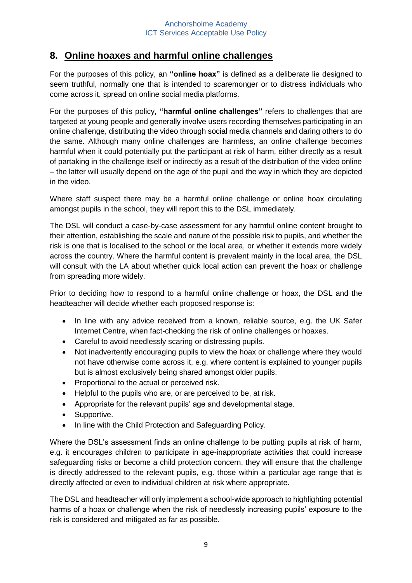## **8. Online hoaxes and harmful online challenges**

For the purposes of this policy, an **"online hoax"** is defined as a deliberate lie designed to seem truthful, normally one that is intended to scaremonger or to distress individuals who come across it, spread on online social media platforms.

For the purposes of this policy, **"harmful online challenges"** refers to challenges that are targeted at young people and generally involve users recording themselves participating in an online challenge, distributing the video through social media channels and daring others to do the same. Although many online challenges are harmless, an online challenge becomes harmful when it could potentially put the participant at risk of harm, either directly as a result of partaking in the challenge itself or indirectly as a result of the distribution of the video online – the latter will usually depend on the age of the pupil and the way in which they are depicted in the video.

Where staff suspect there may be a harmful online challenge or online hoax circulating amongst pupils in the school, they will report this to the DSL immediately.

The DSL will conduct a case-by-case assessment for any harmful online content brought to their attention, establishing the scale and nature of the possible risk to pupils, and whether the risk is one that is localised to the school or the local area, or whether it extends more widely across the country. Where the harmful content is prevalent mainly in the local area, the DSL will consult with the LA about whether quick local action can prevent the hoax or challenge from spreading more widely.

Prior to deciding how to respond to a harmful online challenge or hoax, the DSL and the headteacher will decide whether each proposed response is:

- In line with any advice received from a known, reliable source, e.g. the UK Safer Internet Centre, when fact-checking the risk of online challenges or hoaxes.
- Careful to avoid needlessly scaring or distressing pupils.
- Not inadvertently encouraging pupils to view the hoax or challenge where they would not have otherwise come across it, e.g. where content is explained to younger pupils but is almost exclusively being shared amongst older pupils.
- Proportional to the actual or perceived risk.
- Helpful to the pupils who are, or are perceived to be, at risk.
- Appropriate for the relevant pupils' age and developmental stage.
- Supportive.
- In line with the Child Protection and Safeguarding Policy.

Where the DSL's assessment finds an online challenge to be putting pupils at risk of harm, e.g. it encourages children to participate in age-inappropriate activities that could increase safeguarding risks or become a child protection concern, they will ensure that the challenge is directly addressed to the relevant pupils, e.g. those within a particular age range that is directly affected or even to individual children at risk where appropriate.

The DSL and headteacher will only implement a school-wide approach to highlighting potential harms of a hoax or challenge when the risk of needlessly increasing pupils' exposure to the risk is considered and mitigated as far as possible.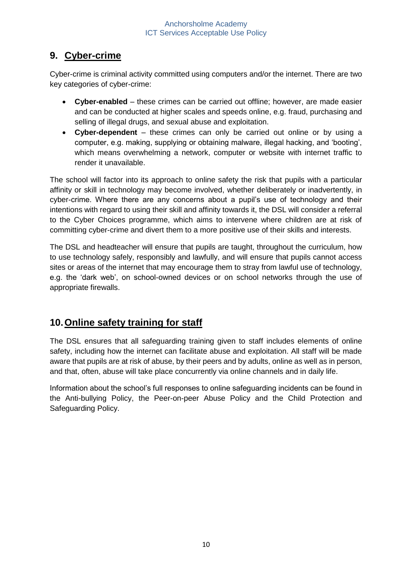## **9. Cyber-crime**

Cyber-crime is criminal activity committed using computers and/or the internet. There are two key categories of cyber-crime:

- **Cyber-enabled** these crimes can be carried out offline; however, are made easier and can be conducted at higher scales and speeds online, e.g. fraud, purchasing and selling of illegal drugs, and sexual abuse and exploitation.
- **Cyber-dependent**  these crimes can only be carried out online or by using a computer, e.g. making, supplying or obtaining malware, illegal hacking, and 'booting', which means overwhelming a network, computer or website with internet traffic to render it unavailable.

The school will factor into its approach to online safety the risk that pupils with a particular affinity or skill in technology may become involved, whether deliberately or inadvertently, in cyber-crime. Where there are any concerns about a pupil's use of technology and their intentions with regard to using their skill and affinity towards it, the DSL will consider a referral to the Cyber Choices programme, which aims to intervene where children are at risk of committing cyber-crime and divert them to a more positive use of their skills and interests.

The DSL and headteacher will ensure that pupils are taught, throughout the curriculum, how to use technology safely, responsibly and lawfully, and will ensure that pupils cannot access sites or areas of the internet that may encourage them to stray from lawful use of technology, e.g. the 'dark web', on school-owned devices or on school networks through the use of appropriate firewalls.

## **10.Online safety training for staff**

The DSL ensures that all safeguarding training given to staff includes elements of online safety, including how the internet can facilitate abuse and exploitation. All staff will be made aware that pupils are at risk of abuse, by their peers and by adults, online as well as in person, and that, often, abuse will take place concurrently via online channels and in daily life.

Information about the school's full responses to online safeguarding incidents can be found in the Anti-bullying Policy, the Peer-on-peer Abuse Policy and the Child Protection and Safeguarding Policy.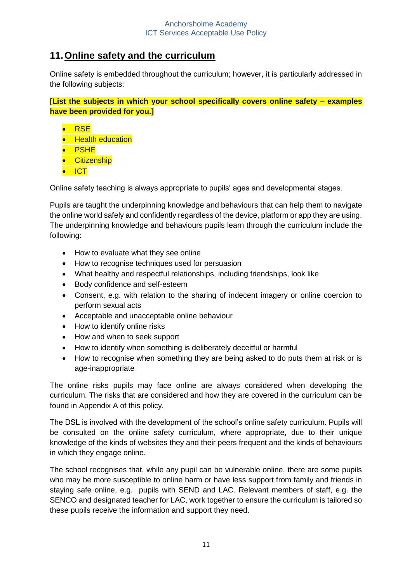## **11.Online safety and the curriculum**

Online safety is embedded throughout the curriculum; however, it is particularly addressed in the following subjects:

**[List the subjects in which your school specifically covers online safety – examples have been provided for you.]**

- RSE
- Health education
- PSHE
- **•** Citizenship
- ICT

Online safety teaching is always appropriate to pupils' ages and developmental stages.

Pupils are taught the underpinning knowledge and behaviours that can help them to navigate the online world safely and confidently regardless of the device, platform or app they are using. The underpinning knowledge and behaviours pupils learn through the curriculum include the following:

- How to evaluate what they see online
- How to recognise techniques used for persuasion
- What healthy and respectful relationships, including friendships, look like
- Body confidence and self-esteem
- Consent, e.g. with relation to the sharing of indecent imagery or online coercion to perform sexual acts
- Acceptable and unacceptable online behaviour
- How to identify online risks
- How and when to seek support
- How to identify when something is deliberately deceitful or harmful
- How to recognise when something they are being asked to do puts them at risk or is age-inappropriate

The online risks pupils may face online are always considered when developing the curriculum. The risks that are considered and how they are covered in the curriculum can be found in Appendix A of this policy.

The DSL is involved with the development of the school's online safety curriculum. Pupils will be consulted on the online safety curriculum, where appropriate, due to their unique knowledge of the kinds of websites they and their peers frequent and the kinds of behaviours in which they engage online.

The school recognises that, while any pupil can be vulnerable online, there are some pupils who may be more susceptible to online harm or have less support from family and friends in staying safe online, e.g. pupils with SEND and LAC. Relevant members of staff, e.g. the SENCO and designated teacher for LAC, work together to ensure the curriculum is tailored so these pupils receive the information and support they need.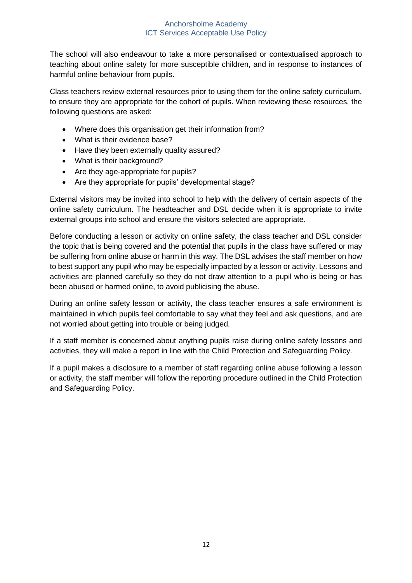The school will also endeavour to take a more personalised or contextualised approach to teaching about online safety for more susceptible children, and in response to instances of harmful online behaviour from pupils.

Class teachers review external resources prior to using them for the online safety curriculum, to ensure they are appropriate for the cohort of pupils. When reviewing these resources, the following questions are asked:

- Where does this organisation get their information from?
- What is their evidence base?
- Have they been externally quality assured?
- What is their background?
- Are they age-appropriate for pupils?
- Are they appropriate for pupils' developmental stage?

External visitors may be invited into school to help with the delivery of certain aspects of the online safety curriculum. The headteacher and DSL decide when it is appropriate to invite external groups into school and ensure the visitors selected are appropriate.

Before conducting a lesson or activity on online safety, the class teacher and DSL consider the topic that is being covered and the potential that pupils in the class have suffered or may be suffering from online abuse or harm in this way. The DSL advises the staff member on how to best support any pupil who may be especially impacted by a lesson or activity. Lessons and activities are planned carefully so they do not draw attention to a pupil who is being or has been abused or harmed online, to avoid publicising the abuse.

During an online safety lesson or activity, the class teacher ensures a safe environment is maintained in which pupils feel comfortable to say what they feel and ask questions, and are not worried about getting into trouble or being judged.

If a staff member is concerned about anything pupils raise during online safety lessons and activities, they will make a report in line with the Child Protection and Safeguarding Policy.

If a pupil makes a disclosure to a member of staff regarding online abuse following a lesson or activity, the staff member will follow the reporting procedure outlined in the Child Protection and Safeguarding Policy.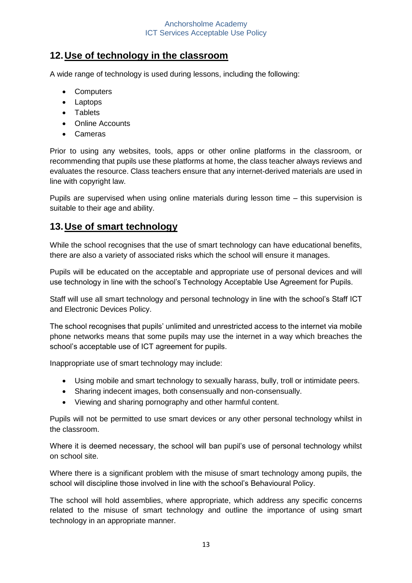## **12.Use of technology in the classroom**

A wide range of technology is used during lessons, including the following:

- Computers
- Laptops
- Tablets
- Online Accounts
- Cameras

Prior to using any websites, tools, apps or other online platforms in the classroom, or recommending that pupils use these platforms at home, the class teacher always reviews and evaluates the resource. Class teachers ensure that any internet-derived materials are used in line with copyright law.

Pupils are supervised when using online materials during lesson time – this supervision is suitable to their age and ability.

## **13.Use of smart technology**

While the school recognises that the use of smart technology can have educational benefits, there are also a variety of associated risks which the school will ensure it manages.

Pupils will be educated on the acceptable and appropriate use of personal devices and will use technology in line with the school's Technology Acceptable Use Agreement for Pupils.

Staff will use all smart technology and personal technology in line with the school's Staff ICT and Electronic Devices Policy.

The school recognises that pupils' unlimited and unrestricted access to the internet via mobile phone networks means that some pupils may use the internet in a way which breaches the school's acceptable use of ICT agreement for pupils.

Inappropriate use of smart technology may include:

- Using mobile and smart technology to sexually harass, bully, troll or intimidate peers.
- Sharing indecent images, both consensually and non-consensually.
- Viewing and sharing pornography and other harmful content.

Pupils will not be permitted to use smart devices or any other personal technology whilst in the classroom.

Where it is deemed necessary, the school will ban pupil's use of personal technology whilst on school site.

Where there is a significant problem with the misuse of smart technology among pupils, the school will discipline those involved in line with the school's Behavioural Policy.

The school will hold assemblies, where appropriate, which address any specific concerns related to the misuse of smart technology and outline the importance of using smart technology in an appropriate manner.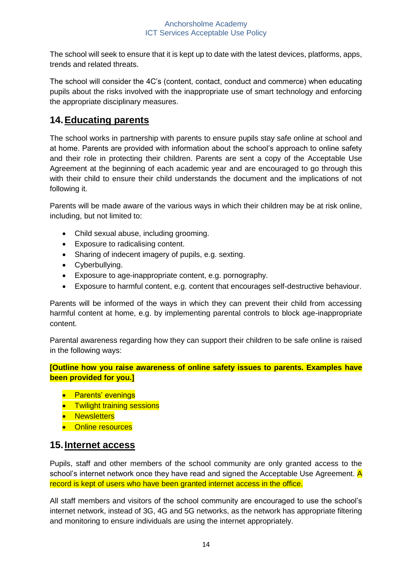The school will seek to ensure that it is kept up to date with the latest devices, platforms, apps, trends and related threats.

The school will consider the 4C's (content, contact, conduct and commerce) when educating pupils about the risks involved with the inappropriate use of smart technology and enforcing the appropriate disciplinary measures.

#### **14.Educating parents**

The school works in partnership with parents to ensure pupils stay safe online at school and at home. Parents are provided with information about the school's approach to online safety and their role in protecting their children. Parents are sent a copy of the Acceptable Use Agreement at the beginning of each academic year and are encouraged to go through this with their child to ensure their child understands the document and the implications of not following it.

Parents will be made aware of the various ways in which their children may be at risk online, including, but not limited to:

- Child sexual abuse, including grooming.
- Exposure to radicalising content.
- Sharing of indecent imagery of pupils, e.g. sexting.
- Cyberbullying.
- Exposure to age-inappropriate content, e.g. pornography.
- Exposure to harmful content, e.g. content that encourages self-destructive behaviour.

Parents will be informed of the ways in which they can prevent their child from accessing harmful content at home, e.g. by implementing parental controls to block age-inappropriate content.

Parental awareness regarding how they can support their children to be safe online is raised in the following ways:

**[Outline how you raise awareness of online safety issues to parents. Examples have been provided for you.]**

- Parents' evenings
- **•** Twilight training sessions
- **•** Newsletters
- Online resources

#### **15.Internet access**

Pupils, staff and other members of the school community are only granted access to the school's internet network once they have read and signed the Acceptable Use Agreement.  $\overline{A}$ record is kept of users who have been granted internet access in the office.

All staff members and visitors of the school community are encouraged to use the school's internet network, instead of 3G, 4G and 5G networks, as the network has appropriate filtering and monitoring to ensure individuals are using the internet appropriately.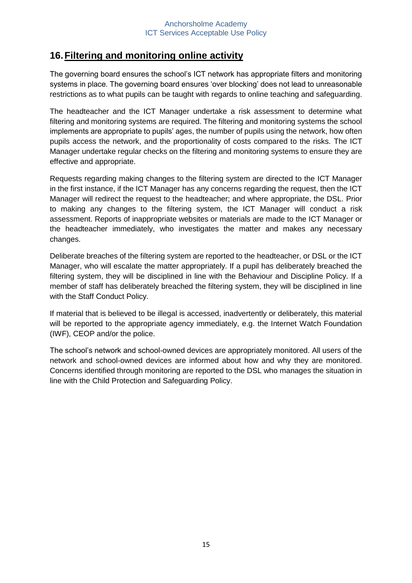## **16.Filtering and monitoring online activity**

The governing board ensures the school's ICT network has appropriate filters and monitoring systems in place. The governing board ensures 'over blocking' does not lead to unreasonable restrictions as to what pupils can be taught with regards to online teaching and safeguarding.

The headteacher and the ICT Manager undertake a risk assessment to determine what filtering and monitoring systems are required. The filtering and monitoring systems the school implements are appropriate to pupils' ages, the number of pupils using the network, how often pupils access the network, and the proportionality of costs compared to the risks. The ICT Manager undertake regular checks on the filtering and monitoring systems to ensure they are effective and appropriate.

Requests regarding making changes to the filtering system are directed to the ICT Manager in the first instance, if the ICT Manager has any concerns regarding the request, then the ICT Manager will redirect the request to the headteacher; and where appropriate, the DSL. Prior to making any changes to the filtering system, the ICT Manager will conduct a risk assessment. Reports of inappropriate websites or materials are made to the ICT Manager or the headteacher immediately, who investigates the matter and makes any necessary changes.

Deliberate breaches of the filtering system are reported to the headteacher, or DSL or the ICT Manager, who will escalate the matter appropriately. If a pupil has deliberately breached the filtering system, they will be disciplined in line with the Behaviour and Discipline Policy. If a member of staff has deliberately breached the filtering system, they will be disciplined in line with the Staff Conduct Policy.

If material that is believed to be illegal is accessed, inadvertently or deliberately, this material will be reported to the appropriate agency immediately, e.g. the Internet Watch Foundation (IWF), CEOP and/or the police.

The school's network and school-owned devices are appropriately monitored. All users of the network and school-owned devices are informed about how and why they are monitored. Concerns identified through monitoring are reported to the DSL who manages the situation in line with the Child Protection and Safeguarding Policy.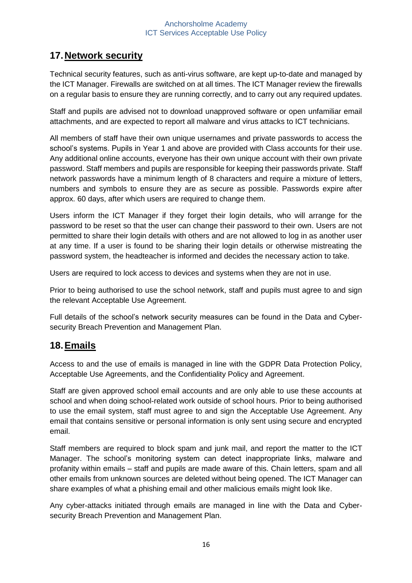## **17.Network security**

Technical security features, such as anti-virus software, are kept up-to-date and managed by the ICT Manager. Firewalls are switched on at all times. The ICT Manager review the firewalls on a regular basis to ensure they are running correctly, and to carry out any required updates.

Staff and pupils are advised not to download unapproved software or open unfamiliar email attachments, and are expected to report all malware and virus attacks to ICT technicians.

All members of staff have their own unique usernames and private passwords to access the school's systems. Pupils in Year 1 and above are provided with Class accounts for their use. Any additional online accounts, everyone has their own unique account with their own private password. Staff members and pupils are responsible for keeping their passwords private. Staff network passwords have a minimum length of 8 characters and require a mixture of letters, numbers and symbols to ensure they are as secure as possible. Passwords expire after approx. 60 days, after which users are required to change them.

Users inform the ICT Manager if they forget their login details, who will arrange for the password to be reset so that the user can change their password to their own. Users are not permitted to share their login details with others and are not allowed to log in as another user at any time. If a user is found to be sharing their login details or otherwise mistreating the password system, the headteacher is informed and decides the necessary action to take.

Users are required to lock access to devices and systems when they are not in use.

Prior to being authorised to use the school network, staff and pupils must agree to and sign the relevant Acceptable Use Agreement.

Full details of the school's network security measures can be found in the Data and Cybersecurity Breach Prevention and Management Plan.

## **18.Emails**

Access to and the use of emails is managed in line with the GDPR Data Protection Policy, Acceptable Use Agreements, and the Confidentiality Policy and Agreement.

Staff are given approved school email accounts and are only able to use these accounts at school and when doing school-related work outside of school hours. Prior to being authorised to use the email system, staff must agree to and sign the Acceptable Use Agreement. Any email that contains sensitive or personal information is only sent using secure and encrypted email.

Staff members are required to block spam and junk mail, and report the matter to the ICT Manager. The school's monitoring system can detect inappropriate links, malware and profanity within emails – staff and pupils are made aware of this. Chain letters, spam and all other emails from unknown sources are deleted without being opened. The ICT Manager can share examples of what a phishing email and other malicious emails might look like.

Any cyber-attacks initiated through emails are managed in line with the Data and Cybersecurity Breach Prevention and Management Plan.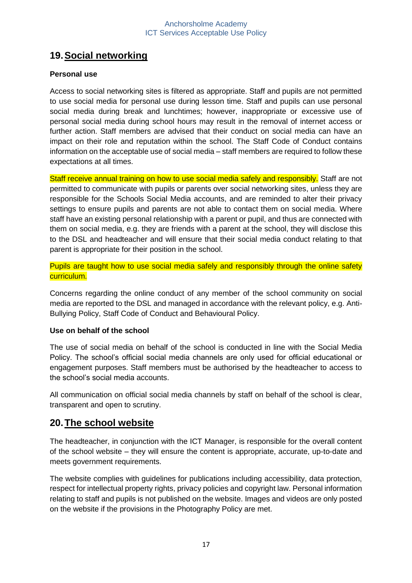## **19.Social networking**

#### **Personal use**

Access to social networking sites is filtered as appropriate. Staff and pupils are not permitted to use social media for personal use during lesson time. Staff and pupils can use personal social media during break and lunchtimes; however, inappropriate or excessive use of personal social media during school hours may result in the removal of internet access or further action. Staff members are advised that their conduct on social media can have an impact on their role and reputation within the school. The Staff Code of Conduct contains information on the acceptable use of social media – staff members are required to follow these expectations at all times.

Staff receive annual training on how to use social media safely and responsibly. Staff are not permitted to communicate with pupils or parents over social networking sites, unless they are responsible for the Schools Social Media accounts, and are reminded to alter their privacy settings to ensure pupils and parents are not able to contact them on social media. Where staff have an existing personal relationship with a parent or pupil, and thus are connected with them on social media, e.g. they are friends with a parent at the school, they will disclose this to the DSL and headteacher and will ensure that their social media conduct relating to that parent is appropriate for their position in the school.

Pupils are taught how to use social media safely and responsibly through the online safety curriculum.

Concerns regarding the online conduct of any member of the school community on social media are reported to the DSL and managed in accordance with the relevant policy, e.g. Anti-Bullying Policy, Staff Code of Conduct and Behavioural Policy.

#### **Use on behalf of the school**

The use of social media on behalf of the school is conducted in line with the Social Media Policy. The school's official social media channels are only used for official educational or engagement purposes. Staff members must be authorised by the headteacher to access to the school's social media accounts.

All communication on official social media channels by staff on behalf of the school is clear, transparent and open to scrutiny.

#### **20.The school website**

The headteacher, in conjunction with the ICT Manager, is responsible for the overall content of the school website – they will ensure the content is appropriate, accurate, up-to-date and meets government requirements.

The website complies with guidelines for publications including accessibility, data protection, respect for intellectual property rights, privacy policies and copyright law. Personal information relating to staff and pupils is not published on the website. Images and videos are only posted on the website if the provisions in the Photography Policy are met.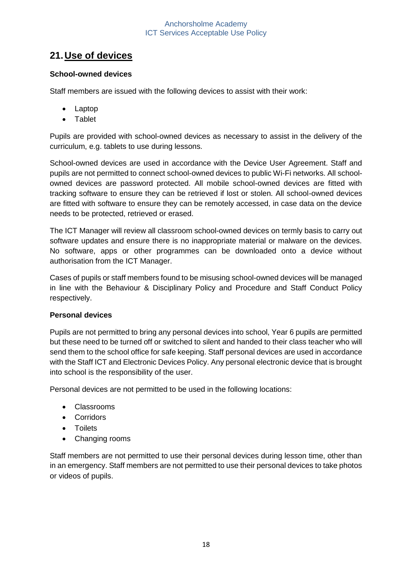## **21.Use of devices**

#### **School-owned devices**

Staff members are issued with the following devices to assist with their work:

- Laptop
- Tablet

Pupils are provided with school-owned devices as necessary to assist in the delivery of the curriculum, e.g. tablets to use during lessons.

School-owned devices are used in accordance with the Device User Agreement. Staff and pupils are not permitted to connect school-owned devices to public Wi-Fi networks. All schoolowned devices are password protected. All mobile school-owned devices are fitted with tracking software to ensure they can be retrieved if lost or stolen. All school-owned devices are fitted with software to ensure they can be remotely accessed, in case data on the device needs to be protected, retrieved or erased.

The ICT Manager will review all classroom school-owned devices on termly basis to carry out software updates and ensure there is no inappropriate material or malware on the devices. No software, apps or other programmes can be downloaded onto a device without authorisation from the ICT Manager.

Cases of pupils or staff members found to be misusing school-owned devices will be managed in line with the Behaviour & Disciplinary Policy and Procedure and Staff Conduct Policy respectively.

#### **Personal devices**

Pupils are not permitted to bring any personal devices into school, Year 6 pupils are permitted but these need to be turned off or switched to silent and handed to their class teacher who will send them to the school office for safe keeping. Staff personal devices are used in accordance with the Staff ICT and Electronic Devices Policy. Any personal electronic device that is brought into school is the responsibility of the user.

Personal devices are not permitted to be used in the following locations:

- Classrooms
- Corridors
- Toilets
- Changing rooms

Staff members are not permitted to use their personal devices during lesson time, other than in an emergency. Staff members are not permitted to use their personal devices to take photos or videos of pupils.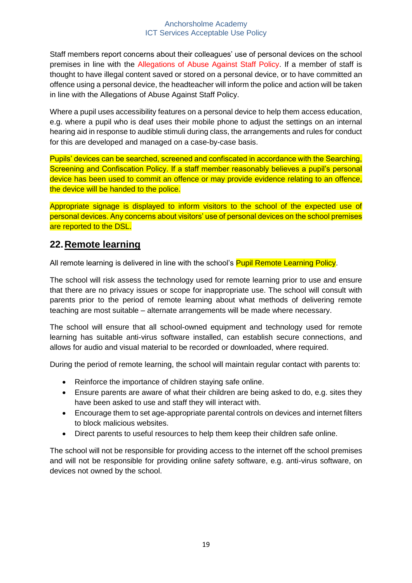Staff members report concerns about their colleagues' use of personal devices on the school premises in line with the Allegations of Abuse Against Staff Policy. If a member of staff is thought to have illegal content saved or stored on a personal device, or to have committed an offence using a personal device, the headteacher will inform the police and action will be taken in line with the Allegations of Abuse Against Staff Policy.

Where a pupil uses accessibility features on a personal device to help them access education, e.g. where a pupil who is deaf uses their mobile phone to adjust the settings on an internal hearing aid in response to audible stimuli during class, the arrangements and rules for conduct for this are developed and managed on a case-by-case basis.

Pupils' devices can be searched, screened and confiscated in accordance with the Searching, Screening and Confiscation Policy. If a staff member reasonably believes a pupil's personal device has been used to commit an offence or may provide evidence relating to an offence, the device will be handed to the police.

Appropriate signage is displayed to inform visitors to the school of the expected use of personal devices. Any concerns about visitors' use of personal devices on the school premises are reported to the DSL.

## **22.Remote learning**

All remote learning is delivered in line with the school's Pupil Remote Learning Policy.

The school will risk assess the technology used for remote learning prior to use and ensure that there are no privacy issues or scope for inappropriate use. The school will consult with parents prior to the period of remote learning about what methods of delivering remote teaching are most suitable – alternate arrangements will be made where necessary.

The school will ensure that all school-owned equipment and technology used for remote learning has suitable anti-virus software installed, can establish secure connections, and allows for audio and visual material to be recorded or downloaded, where required.

During the period of remote learning, the school will maintain regular contact with parents to:

- Reinforce the importance of children staying safe online.
- Ensure parents are aware of what their children are being asked to do, e.g. sites they have been asked to use and staff they will interact with.
- Encourage them to set age-appropriate parental controls on devices and internet filters to block malicious websites.
- Direct parents to useful resources to help them keep their children safe online.

The school will not be responsible for providing access to the internet off the school premises and will not be responsible for providing online safety software, e.g. anti-virus software, on devices not owned by the school.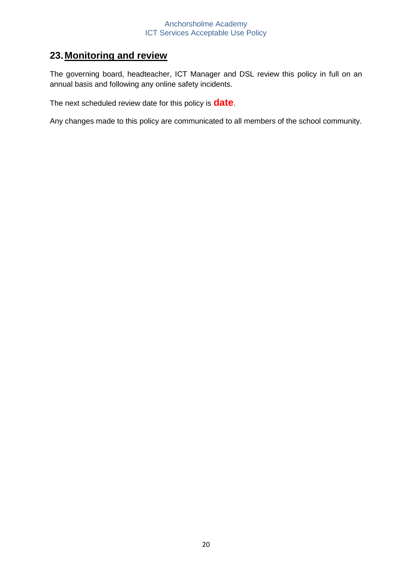## **23.Monitoring and review**

The governing board, headteacher, ICT Manager and DSL review this policy in full on an annual basis and following any online safety incidents.

The next scheduled review date for this policy is **date**.

Any changes made to this policy are communicated to all members of the school community.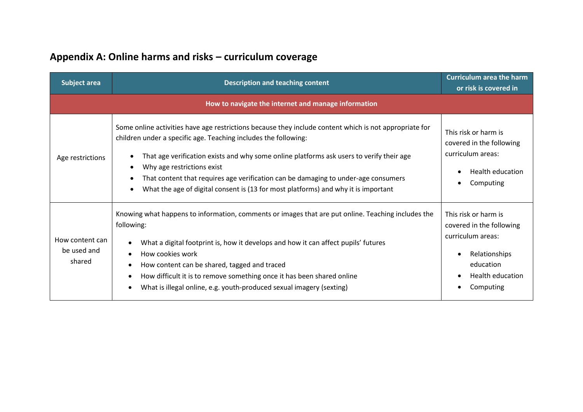## **Appendix A: Online harms and risks – curriculum coverage**

| <b>Subject area</b>                      | <b>Description and teaching content</b>                                                                                                                                                                                                                                                                                                                                                                                                                                         | <b>Curriculum area the harm</b><br>or risk is covered in                                                                                                 |
|------------------------------------------|---------------------------------------------------------------------------------------------------------------------------------------------------------------------------------------------------------------------------------------------------------------------------------------------------------------------------------------------------------------------------------------------------------------------------------------------------------------------------------|----------------------------------------------------------------------------------------------------------------------------------------------------------|
|                                          | How to navigate the internet and manage information                                                                                                                                                                                                                                                                                                                                                                                                                             |                                                                                                                                                          |
| Age restrictions                         | Some online activities have age restrictions because they include content which is not appropriate for<br>children under a specific age. Teaching includes the following:<br>That age verification exists and why some online platforms ask users to verify their age<br>Why age restrictions exist<br>That content that requires age verification can be damaging to under-age consumers<br>What the age of digital consent is (13 for most platforms) and why it is important | This risk or harm is<br>covered in the following<br>curriculum areas:<br><b>Health education</b><br>Computing<br>$\bullet$                               |
| How content can<br>be used and<br>shared | Knowing what happens to information, comments or images that are put online. Teaching includes the<br>following:<br>What a digital footprint is, how it develops and how it can affect pupils' futures<br>How cookies work<br>$\bullet$<br>How content can be shared, tagged and traced<br>٠<br>How difficult it is to remove something once it has been shared online<br>What is illegal online, e.g. youth-produced sexual imagery (sexting)                                  | This risk or harm is<br>covered in the following<br>curriculum areas:<br>Relationships<br>$\bullet$<br>education<br><b>Health education</b><br>Computing |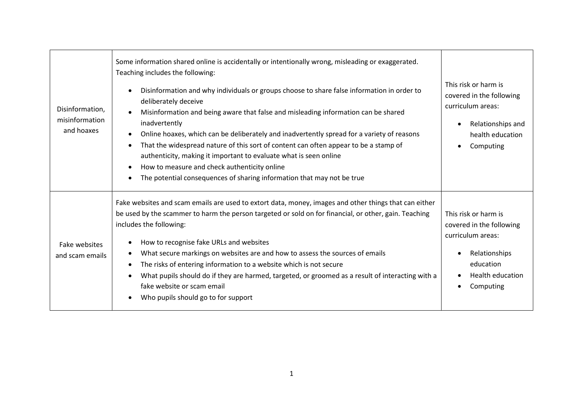| Disinformation,<br>misinformation<br>and hoaxes | Some information shared online is accidentally or intentionally wrong, misleading or exaggerated.<br>Teaching includes the following:<br>Disinformation and why individuals or groups choose to share false information in order to<br>deliberately deceive<br>Misinformation and being aware that false and misleading information can be shared<br>inadvertently<br>Online hoaxes, which can be deliberately and inadvertently spread for a variety of reasons<br>That the widespread nature of this sort of content can often appear to be a stamp of<br>authenticity, making it important to evaluate what is seen online<br>How to measure and check authenticity online | This risk or harm is<br>covered in the following<br>curriculum areas:<br>Relationships and<br>$\bullet$<br>health education<br>Computing    |
|-------------------------------------------------|-------------------------------------------------------------------------------------------------------------------------------------------------------------------------------------------------------------------------------------------------------------------------------------------------------------------------------------------------------------------------------------------------------------------------------------------------------------------------------------------------------------------------------------------------------------------------------------------------------------------------------------------------------------------------------|---------------------------------------------------------------------------------------------------------------------------------------------|
|                                                 | The potential consequences of sharing information that may not be true                                                                                                                                                                                                                                                                                                                                                                                                                                                                                                                                                                                                        |                                                                                                                                             |
| Fake websites<br>and scam emails                | Fake websites and scam emails are used to extort data, money, images and other things that can either<br>be used by the scammer to harm the person targeted or sold on for financial, or other, gain. Teaching<br>includes the following:<br>How to recognise fake URLs and websites<br>What secure markings on websites are and how to assess the sources of emails<br>The risks of entering information to a website which is not secure<br>What pupils should do if they are harmed, targeted, or groomed as a result of interacting with a<br>fake website or scam email<br>Who pupils should go to for support                                                           | This risk or harm is<br>covered in the following<br>curriculum areas:<br>Relationships<br>education<br><b>Health education</b><br>Computing |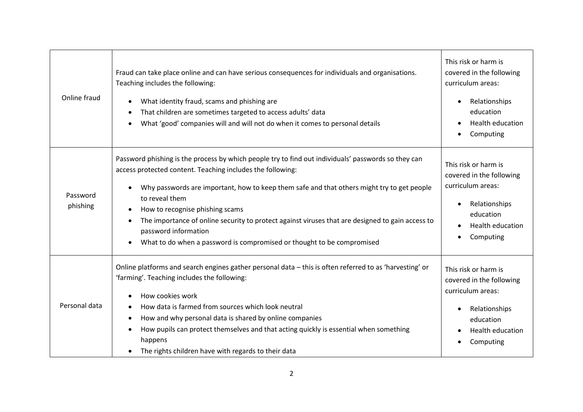| Online fraud         | Fraud can take place online and can have serious consequences for individuals and organisations.<br>Teaching includes the following:<br>What identity fraud, scams and phishing are<br>That children are sometimes targeted to access adults' data<br>What 'good' companies will and will not do when it comes to personal details                                                                                                                                                                                         | This risk or harm is<br>covered in the following<br>curriculum areas:<br>Relationships<br>$\bullet$<br>education<br><b>Health education</b><br>Computing |
|----------------------|----------------------------------------------------------------------------------------------------------------------------------------------------------------------------------------------------------------------------------------------------------------------------------------------------------------------------------------------------------------------------------------------------------------------------------------------------------------------------------------------------------------------------|----------------------------------------------------------------------------------------------------------------------------------------------------------|
| Password<br>phishing | Password phishing is the process by which people try to find out individuals' passwords so they can<br>access protected content. Teaching includes the following:<br>Why passwords are important, how to keep them safe and that others might try to get people<br>to reveal them<br>How to recognise phishing scams<br>The importance of online security to protect against viruses that are designed to gain access to<br>password information<br>What to do when a password is compromised or thought to be compromised | This risk or harm is<br>covered in the following<br>curriculum areas:<br>Relationships<br>education<br>Health education<br>Computing                     |
| Personal data        | Online platforms and search engines gather personal data - this is often referred to as 'harvesting' or<br>'farming'. Teaching includes the following:<br>How cookies work<br>How data is farmed from sources which look neutral<br>How and why personal data is shared by online companies<br>How pupils can protect themselves and that acting quickly is essential when something<br>happens<br>The rights children have with regards to their data                                                                     | This risk or harm is<br>covered in the following<br>curriculum areas:<br>Relationships<br>education<br>Health education<br>Computing                     |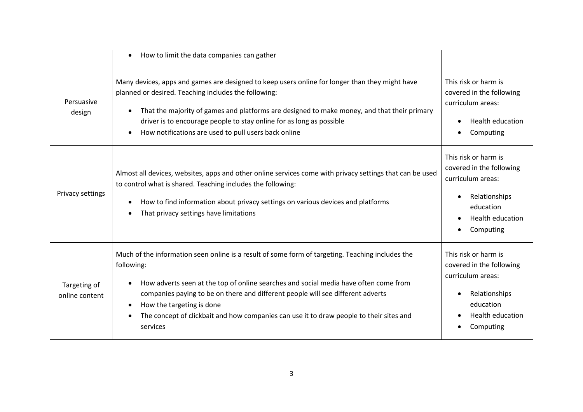|                                | How to limit the data companies can gather<br>$\bullet$                                                                                                                                                                                                                                                                                                                                                                                    |                                                                                                                                                          |
|--------------------------------|--------------------------------------------------------------------------------------------------------------------------------------------------------------------------------------------------------------------------------------------------------------------------------------------------------------------------------------------------------------------------------------------------------------------------------------------|----------------------------------------------------------------------------------------------------------------------------------------------------------|
| Persuasive<br>design           | Many devices, apps and games are designed to keep users online for longer than they might have<br>planned or desired. Teaching includes the following:<br>That the majority of games and platforms are designed to make money, and that their primary<br>$\bullet$<br>driver is to encourage people to stay online for as long as possible<br>How notifications are used to pull users back online<br>$\bullet$                            | This risk or harm is<br>covered in the following<br>curriculum areas:<br><b>Health education</b><br>Computing                                            |
| Privacy settings               | Almost all devices, websites, apps and other online services come with privacy settings that can be used<br>to control what is shared. Teaching includes the following:<br>How to find information about privacy settings on various devices and platforms<br>That privacy settings have limitations                                                                                                                                       | This risk or harm is<br>covered in the following<br>curriculum areas:<br>Relationships<br>$\bullet$<br>education<br><b>Health education</b><br>Computing |
| Targeting of<br>online content | Much of the information seen online is a result of some form of targeting. Teaching includes the<br>following:<br>How adverts seen at the top of online searches and social media have often come from<br>companies paying to be on there and different people will see different adverts<br>How the targeting is done<br>$\bullet$<br>The concept of clickbait and how companies can use it to draw people to their sites and<br>services | This risk or harm is<br>covered in the following<br>curriculum areas:<br>Relationships<br>$\bullet$<br>education<br><b>Health education</b><br>Computing |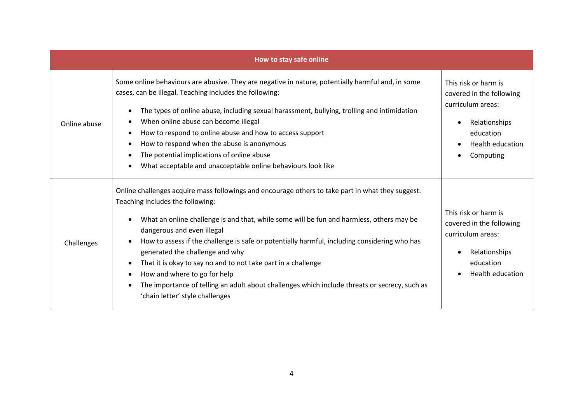| How to stay safe online |                                                                                                                                                                                                                                                                                                                                                                                                                                                                                                                                                                                                                                         |                                                                                                                                             |
|-------------------------|-----------------------------------------------------------------------------------------------------------------------------------------------------------------------------------------------------------------------------------------------------------------------------------------------------------------------------------------------------------------------------------------------------------------------------------------------------------------------------------------------------------------------------------------------------------------------------------------------------------------------------------------|---------------------------------------------------------------------------------------------------------------------------------------------|
| Online abuse            | Some online behaviours are abusive. They are negative in nature, potentially harmful and, in some<br>cases, can be illegal. Teaching includes the following:<br>The types of online abuse, including sexual harassment, bullying, trolling and intimidation<br>When online abuse can become illegal<br>How to respond to online abuse and how to access support<br>How to respond when the abuse is anonymous<br>The potential implications of online abuse<br>What acceptable and unacceptable online behaviours look like                                                                                                             | This risk or harm is<br>covered in the following<br>curriculum areas:<br>Relationships<br>education<br><b>Health education</b><br>Computing |
| Challenges              | Online challenges acquire mass followings and encourage others to take part in what they suggest.<br>Teaching includes the following:<br>What an online challenge is and that, while some will be fun and harmless, others may be<br>dangerous and even illegal<br>How to assess if the challenge is safe or potentially harmful, including considering who has<br>generated the challenge and why<br>That it is okay to say no and to not take part in a challenge<br>How and where to go for help<br>The importance of telling an adult about challenges which include threats or secrecy, such as<br>'chain letter' style challenges | This risk or harm is<br>covered in the following<br>curriculum areas:<br>Relationships<br>education<br><b>Health education</b>              |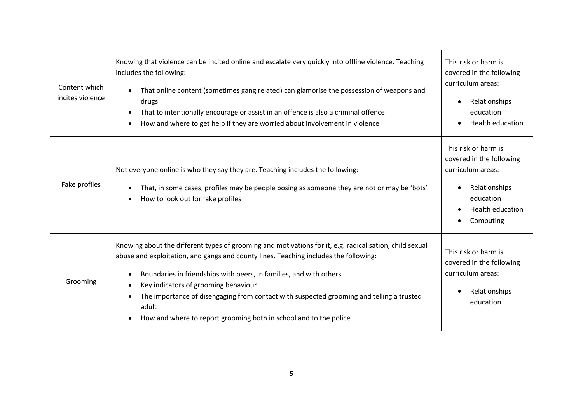| Content which<br>incites violence | Knowing that violence can be incited online and escalate very quickly into offline violence. Teaching<br>includes the following:<br>That online content (sometimes gang related) can glamorise the possession of weapons and<br>drugs<br>That to intentionally encourage or assist in an offence is also a criminal offence<br>How and where to get help if they are worried about involvement in violence                                                                              | This risk or harm is<br>covered in the following<br>curriculum areas:<br>Relationships<br>education<br>Health education              |
|-----------------------------------|-----------------------------------------------------------------------------------------------------------------------------------------------------------------------------------------------------------------------------------------------------------------------------------------------------------------------------------------------------------------------------------------------------------------------------------------------------------------------------------------|--------------------------------------------------------------------------------------------------------------------------------------|
| Fake profiles                     | Not everyone online is who they say they are. Teaching includes the following:<br>That, in some cases, profiles may be people posing as someone they are not or may be 'bots'<br>How to look out for fake profiles                                                                                                                                                                                                                                                                      | This risk or harm is<br>covered in the following<br>curriculum areas:<br>Relationships<br>education<br>Health education<br>Computing |
| Grooming                          | Knowing about the different types of grooming and motivations for it, e.g. radicalisation, child sexual<br>abuse and exploitation, and gangs and county lines. Teaching includes the following:<br>Boundaries in friendships with peers, in families, and with others<br>Key indicators of grooming behaviour<br>The importance of disengaging from contact with suspected grooming and telling a trusted<br>adult<br>How and where to report grooming both in school and to the police | This risk or harm is<br>covered in the following<br>curriculum areas:<br>Relationships<br>education                                  |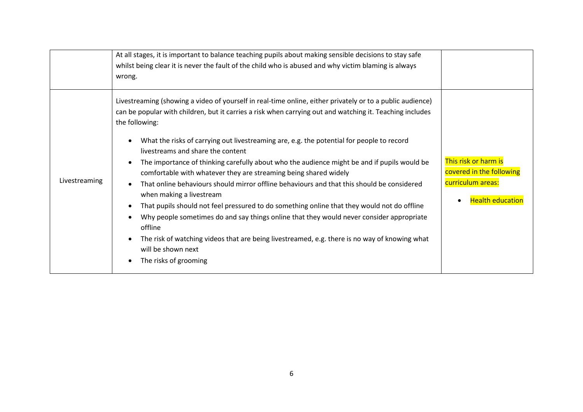|               | At all stages, it is important to balance teaching pupils about making sensible decisions to stay safe<br>whilst being clear it is never the fault of the child who is abused and why victim blaming is always<br>wrong.                                                                                                                                                                                                                                                                                                                                                                                                                                                                                                                                                                                                                                                                                                                                                                                                     |                                                                                                  |
|---------------|------------------------------------------------------------------------------------------------------------------------------------------------------------------------------------------------------------------------------------------------------------------------------------------------------------------------------------------------------------------------------------------------------------------------------------------------------------------------------------------------------------------------------------------------------------------------------------------------------------------------------------------------------------------------------------------------------------------------------------------------------------------------------------------------------------------------------------------------------------------------------------------------------------------------------------------------------------------------------------------------------------------------------|--------------------------------------------------------------------------------------------------|
| Livestreaming | Livestreaming (showing a video of yourself in real-time online, either privately or to a public audience)<br>can be popular with children, but it carries a risk when carrying out and watching it. Teaching includes<br>the following:<br>What the risks of carrying out livestreaming are, e.g. the potential for people to record<br>livestreams and share the content<br>The importance of thinking carefully about who the audience might be and if pupils would be<br>comfortable with whatever they are streaming being shared widely<br>That online behaviours should mirror offline behaviours and that this should be considered<br>when making a livestream<br>That pupils should not feel pressured to do something online that they would not do offline<br>Why people sometimes do and say things online that they would never consider appropriate<br>offline<br>The risk of watching videos that are being livestreamed, e.g. there is no way of knowing what<br>will be shown next<br>The risks of grooming | This risk or harm is<br>covered in the following<br>curriculum areas:<br><b>Health education</b> |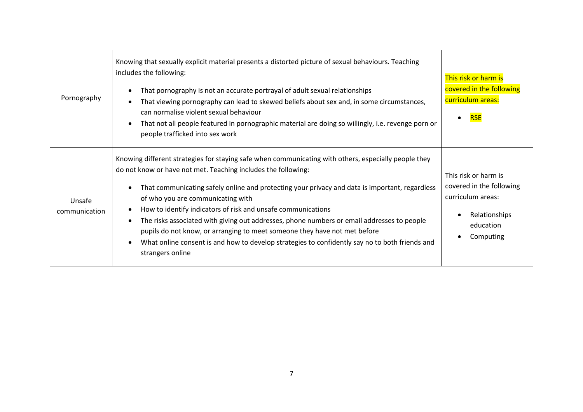| Pornography             | Knowing that sexually explicit material presents a distorted picture of sexual behaviours. Teaching<br>includes the following:<br>That pornography is not an accurate portrayal of adult sexual relationships<br>That viewing pornography can lead to skewed beliefs about sex and, in some circumstances,<br>can normalise violent sexual behaviour<br>That not all people featured in pornographic material are doing so willingly, i.e. revenge porn or<br>people trafficked into sex work                                                                                                                                                                                 | This risk or harm is<br>covered in the following<br>curriculum areas:<br><b>RSE</b>                              |
|-------------------------|-------------------------------------------------------------------------------------------------------------------------------------------------------------------------------------------------------------------------------------------------------------------------------------------------------------------------------------------------------------------------------------------------------------------------------------------------------------------------------------------------------------------------------------------------------------------------------------------------------------------------------------------------------------------------------|------------------------------------------------------------------------------------------------------------------|
| Unsafe<br>communication | Knowing different strategies for staying safe when communicating with others, especially people they<br>do not know or have not met. Teaching includes the following:<br>That communicating safely online and protecting your privacy and data is important, regardless<br>of who you are communicating with<br>How to identify indicators of risk and unsafe communications<br>The risks associated with giving out addresses, phone numbers or email addresses to people<br>pupils do not know, or arranging to meet someone they have not met before<br>What online consent is and how to develop strategies to confidently say no to both friends and<br>strangers online | This risk or harm is<br>covered in the following<br>curriculum areas:<br>Relationships<br>education<br>Computing |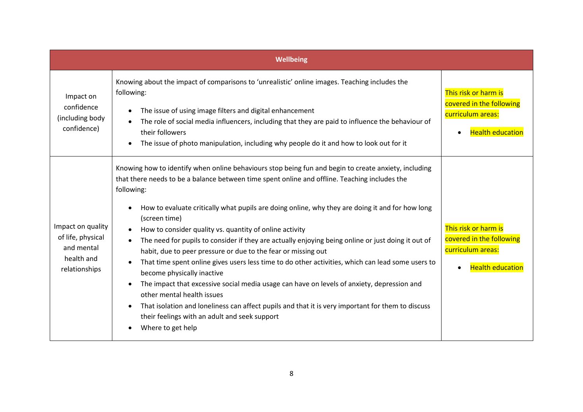|                                                                                     | <b>Wellbeing</b>                                                                                                                                                                                                                                                                                                                                                                                                                                                                                                                                                                                                                                                                                                                                                                                                                                                                                                                                                                                                    |                                                                                                               |
|-------------------------------------------------------------------------------------|---------------------------------------------------------------------------------------------------------------------------------------------------------------------------------------------------------------------------------------------------------------------------------------------------------------------------------------------------------------------------------------------------------------------------------------------------------------------------------------------------------------------------------------------------------------------------------------------------------------------------------------------------------------------------------------------------------------------------------------------------------------------------------------------------------------------------------------------------------------------------------------------------------------------------------------------------------------------------------------------------------------------|---------------------------------------------------------------------------------------------------------------|
| Impact on<br>confidence<br>(including body)<br>confidence)                          | Knowing about the impact of comparisons to 'unrealistic' online images. Teaching includes the<br>following:<br>The issue of using image filters and digital enhancement<br>The role of social media influencers, including that they are paid to influence the behaviour of<br>their followers<br>The issue of photo manipulation, including why people do it and how to look out for it                                                                                                                                                                                                                                                                                                                                                                                                                                                                                                                                                                                                                            | This risk or harm is<br>covered in the following<br>curriculum areas:<br><b>Health education</b>              |
| Impact on quality<br>of life, physical<br>and mental<br>health and<br>relationships | Knowing how to identify when online behaviours stop being fun and begin to create anxiety, including<br>that there needs to be a balance between time spent online and offline. Teaching includes the<br>following:<br>How to evaluate critically what pupils are doing online, why they are doing it and for how long<br>(screen time)<br>How to consider quality vs. quantity of online activity<br>The need for pupils to consider if they are actually enjoying being online or just doing it out of<br>habit, due to peer pressure or due to the fear or missing out<br>That time spent online gives users less time to do other activities, which can lead some users to<br>become physically inactive<br>The impact that excessive social media usage can have on levels of anxiety, depression and<br>other mental health issues<br>That isolation and loneliness can affect pupils and that it is very important for them to discuss<br>their feelings with an adult and seek support<br>Where to get help | This risk or harm is<br>covered in the following<br>curriculum areas:<br><b>Health education</b><br>$\bullet$ |